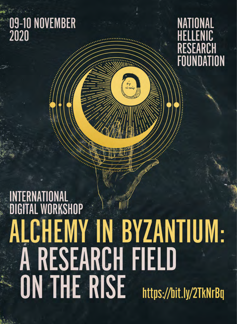# 09-10 NOVEMBER<br>2020

# **NATIONAL** HELLENIC RESEARCH **FOUNDATION**

# INTERNATIONAL<br>DIGITAL WORKSHOP ALCHEMY IN BYZANTIUM:<br>A RESEARCH FIELD **ON THE RISE** https://bit.ly/2TkNrBq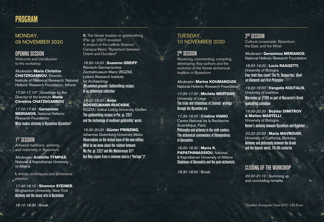# PROGRAM

## MONDAY, 09 NOVEMBER 2020

### Opening Session

Welcome and introduction to the workshop

#### Moderator: **Maria Christina Chatziioannou**, Director,

Institute of Historical Research, National Hellenic Research Foundation, Athens

17.00-17.10<sup>\*</sup> | Greetings by the Director of the Institute **Maria Christina CHATZIIOANNOU**

17.10-17.40 | **Gerasimos MERIANOS**, National Hellenic Research Foundation What makes alchemy in Byzantium Byzantine?

## 1<sup>st</sup> SESSION

Artisanal traditions, alchemy, and materiality in Byzantium

Moderator: **Aristotle Tympas**, National & Kapodistrian University of Athens

**I.** Artistic techniques and alchemical practice

17.40-18.10 | **Shannon STEINER**, Binghamton University, New York Alchemy and the luxury arts in Byzantium

**II.** The Greek treatise on goldsmithing (Par. gr. 2327) revisited: A project of the Leibniz-Science Campus Mainz "Byzantium between Orient and Occident"

18.30-19.00 | **Susanne GREIFF**, Römisch-Germanisches Zentralmuseum Mainz (RGZM), Leibniz Research Institute for Archaeology On common grounds: Goldsmithing recipes in an alchemical collection

#### 19.00-19.30 | **Antje BOSSELMANN-RUICKBIE**,

RGZM / Justus Liebig University Gießen The goldsmithing recipes in Par. gr. 2327 and the technology of medieval goldsmiths' works

19.30-20.00 | **Günter PRINZING**, Johannes Gutenberg University Mainz Observations on the textual base of the new edition. What do we know about the relation between Ms Par. gr. 2327 and Ms Meteorensis 97? Are they copies from a common source ("Vorlage")?

## TUESDAY, 10 NOVEMBER 2020

## 2ND Session

Receiving, commenting, compiling, developing: Key-authors and the evolution of the Greek alchemical tradition in Byzantium

Moderator: **Marina KOUMANOUDI**, National Hellenic Research Foundation

17.00-17.30 | **Michèle MERTENS**, University of Liège The trials and tribulations of Zosimos' writings through the Byzantine era

17.30-18.00 | **Cristina VIANO**, Centre National de la Recherche Scientifique, Paris Philosophy and alchemy in the sixth century: The alchemical commentary of Olympiodorus of Alexandria

18.00-18.30 | **Maria K. PAPATHANASSIOU**, National & Kapodistrian University of Athens Stephanos of Alexandria and the poet-alchemists

18.30-18.50 | Break

# $3<sup>RD</sup>$  SESSION

Cultural crossroads: Byzantium, the East, and the West

Moderator: **Gerasimos MERIANOS**, National Hellenic Research Foundation

18.50-19.20 | **Lucia RAGGETTI**, University of Bologna Four shalt thou count! The Ps. Democritus' Book on Elements and First Principles

19.20-19.50 | **Vangelis KOUTALIS**, University of Ioannina Marcianus gr. Z 299 as part of Bessarion's Greek manuscript collection

19.50-20.20 | **Bojidar DIMITROV & Matteo MARTELLI**, University of Bologna Homer's alchemy between Byzantium and Baghdad

20.20-20.50 | **Maria MAVROUDI**, University of California, Berkeley Alchemy and philosophy between the Greek and the Islamic world, 7th-9th centuries

## CLOSING OF THE WORKSHOP

20.50-21.10 | Summing up and concluding remarks